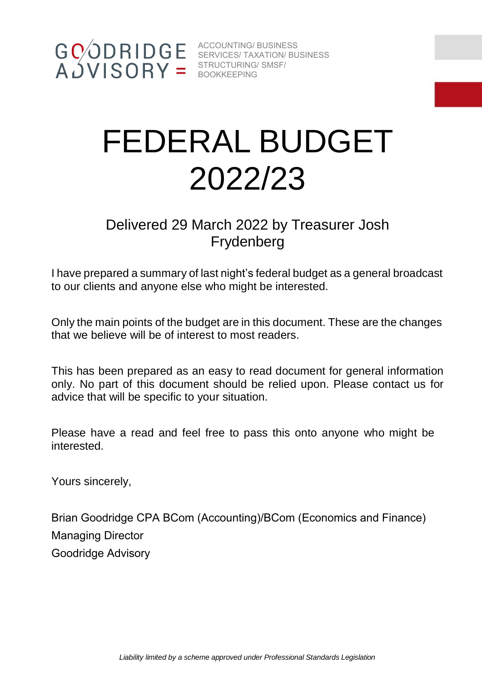# FEDERAL BUDGET 2022/23

# Delivered 29 March 2022 by Treasurer Josh Frydenberg

I have prepared a summary of last night's federal budget as a general broadcast to our clients and anyone else who might be interested.

Only the main points of the budget are in this document. These are the changes that we believe will be of interest to most readers.

This has been prepared as an easy to read document for general information only. No part of this document should be relied upon. Please contact us for advice that will be specific to your situation.

Please have a read and feel free to pass this onto anyone who might be interested.

Yours sincerely,

Brian Goodridge CPA BCom (Accounting)/BCom (Economics and Finance) Managing Director Goodridge Advisory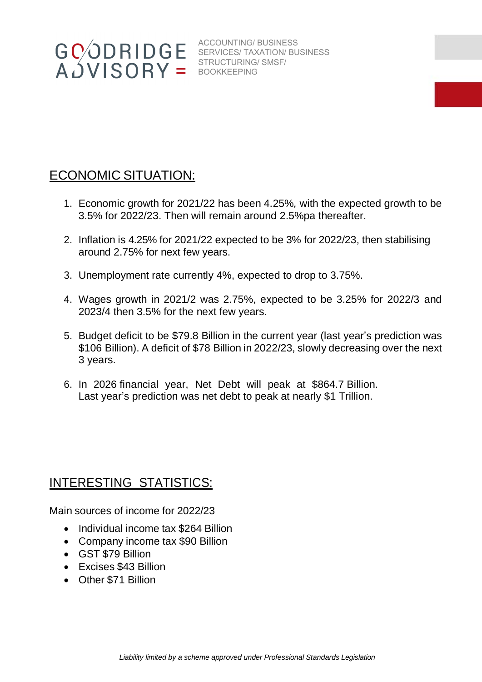# ECONOMIC SITUATION:

- 1. Economic growth for 2021/22 has been 4.25%*,* with the expected growth to be 3.5% for 2022/23. Then will remain around 2.5%pa thereafter.
- 2. Inflation is 4.25% for 2021/22 expected to be 3% for 2022/23, then stabilising around 2.75% for next few years.
- 3. Unemployment rate currently 4%, expected to drop to 3.75%.
- 4. Wages growth in 2021/2 was 2.75%, expected to be 3.25% for 2022/3 and 2023/4 then 3.5% for the next few years.
- 5. Budget deficit to be \$79.8 Billion in the current year (last year's prediction was \$106 Billion). A deficit of \$78 Billion in 2022/23, slowly decreasing over the next 3 years.
- 6. In 2026 financial year, Net Debt will peak at \$864.7 Billion. Last year's prediction was net debt to peak at nearly \$1 Trillion.

#### INTERESTING STATISTICS:

Main sources of income for 2022/23

- Individual income tax \$264 Billion
- Company income tax \$90 Billion
- GST \$79 Billion
- Excises \$43 Billion
- Other \$71 Billion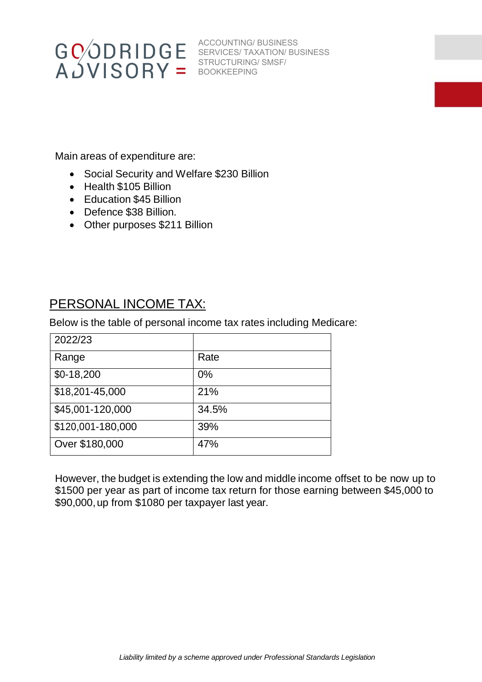

Main areas of expenditure are:

- Social Security and Welfare \$230 Billion
- Health \$105 Billion
- Education \$45 Billion
- Defence \$38 Billion.
- Other purposes \$211 Billion

#### PERSONAL INCOME TAX:

Below is the table of personal income tax rates including Medicare:

| 2022/23           |       |
|-------------------|-------|
| Range             | Rate  |
| $$0-18,200$       | 0%    |
| \$18,201-45,000   | 21%   |
| \$45,001-120,000  | 34.5% |
| \$120,001-180,000 | 39%   |
| Over \$180,000    | 47%   |

However, the budget is extending the low and middle income offset to be now up to \$1500 per year as part of income tax return for those earning between \$45,000 to \$90,000, up from \$1080 per taxpayer last year.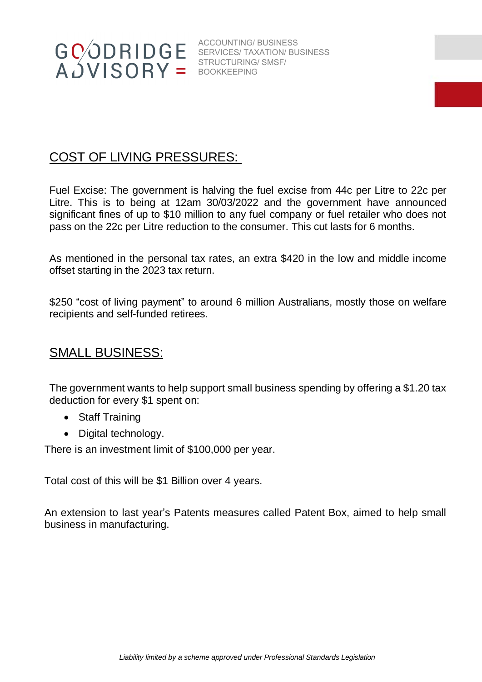

### COST OF LIVING PRESSURES:

Fuel Excise: The government is halving the fuel excise from 44c per Litre to 22c per Litre. This is to being at 12am 30/03/2022 and the government have announced significant fines of up to \$10 million to any fuel company or fuel retailer who does not pass on the 22c per Litre reduction to the consumer. This cut lasts for 6 months.

As mentioned in the personal tax rates, an extra \$420 in the low and middle income offset starting in the 2023 tax return.

\$250 "cost of living payment" to around 6 million Australians, mostly those on welfare recipients and self-funded retirees.

#### SMALL BUSINESS:

The government wants to help support small business spending by offering a \$1.20 tax deduction for every \$1 spent on:

- Staff Training
- Digital technology.

There is an investment limit of \$100,000 per year.

Total cost of this will be \$1 Billion over 4 years.

An extension to last year's Patents measures called Patent Box, aimed to help small business in manufacturing.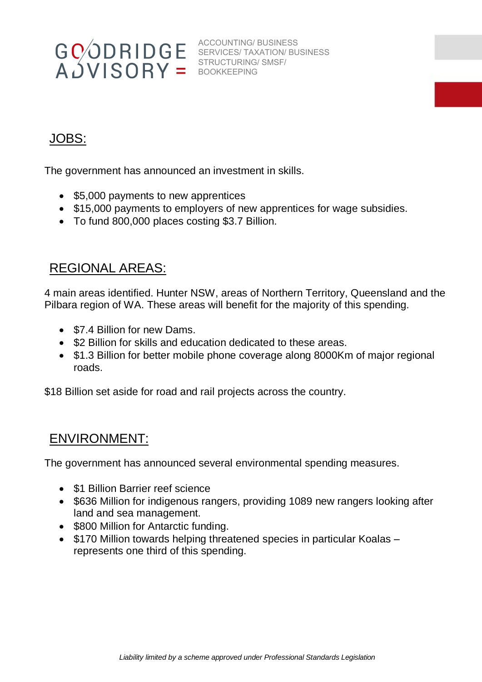

# JOBS:

The government has announced an investment in skills.

- \$5,000 payments to new apprentices
- \$15,000 payments to employers of new apprentices for wage subsidies.
- To fund 800,000 places costing \$3.7 Billion.

#### REGIONAL AREAS:

4 main areas identified. Hunter NSW, areas of Northern Territory, Queensland and the Pilbara region of WA. These areas will benefit for the majority of this spending.

- \$7.4 Billion for new Dams.
- \$2 Billion for skills and education dedicated to these areas.
- \$1.3 Billion for better mobile phone coverage along 8000Km of major regional roads.

\$18 Billion set aside for road and rail projects across the country.

#### ENVIRONMENT:

The government has announced several environmental spending measures.

- \$1 Billion Barrier reef science
- \$636 Million for indigenous rangers, providing 1089 new rangers looking after land and sea management.
- \$800 Million for Antarctic funding.
- \$170 Million towards helping threatened species in particular Koalas represents one third of this spending.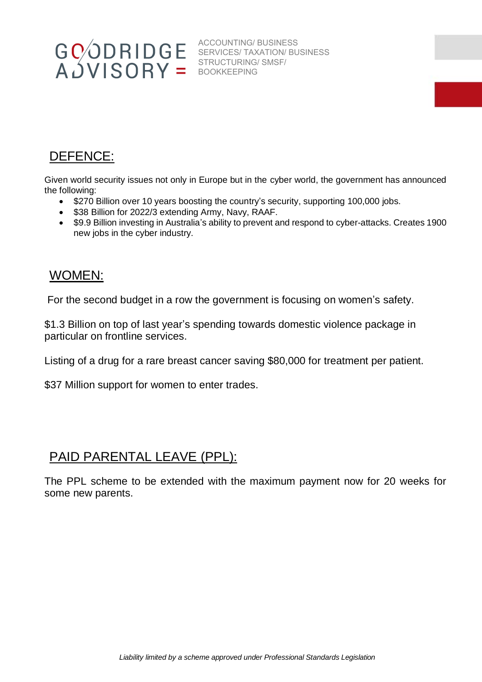### DEFENCE:

Given world security issues not only in Europe but in the cyber world, the government has announced the following:

- \$270 Billion over 10 years boosting the country's security, supporting 100,000 jobs.
- \$38 Billion for 2022/3 extending Army, Navy, RAAF.
- \$9.9 Billion investing in Australia's ability to prevent and respond to cyber-attacks. Creates 1900 new jobs in the cyber industry.

#### WOMEN:

For the second budget in a row the government is focusing on women's safety.

\$1.3 Billion on top of last year's spending towards domestic violence package in particular on frontline services.

Listing of a drug for a rare breast cancer saving \$80,000 for treatment per patient.

\$37 Million support for women to enter trades.

#### PAID PARENTAL LEAVE (PPL):

The PPL scheme to be extended with the maximum payment now for 20 weeks for some new parents.